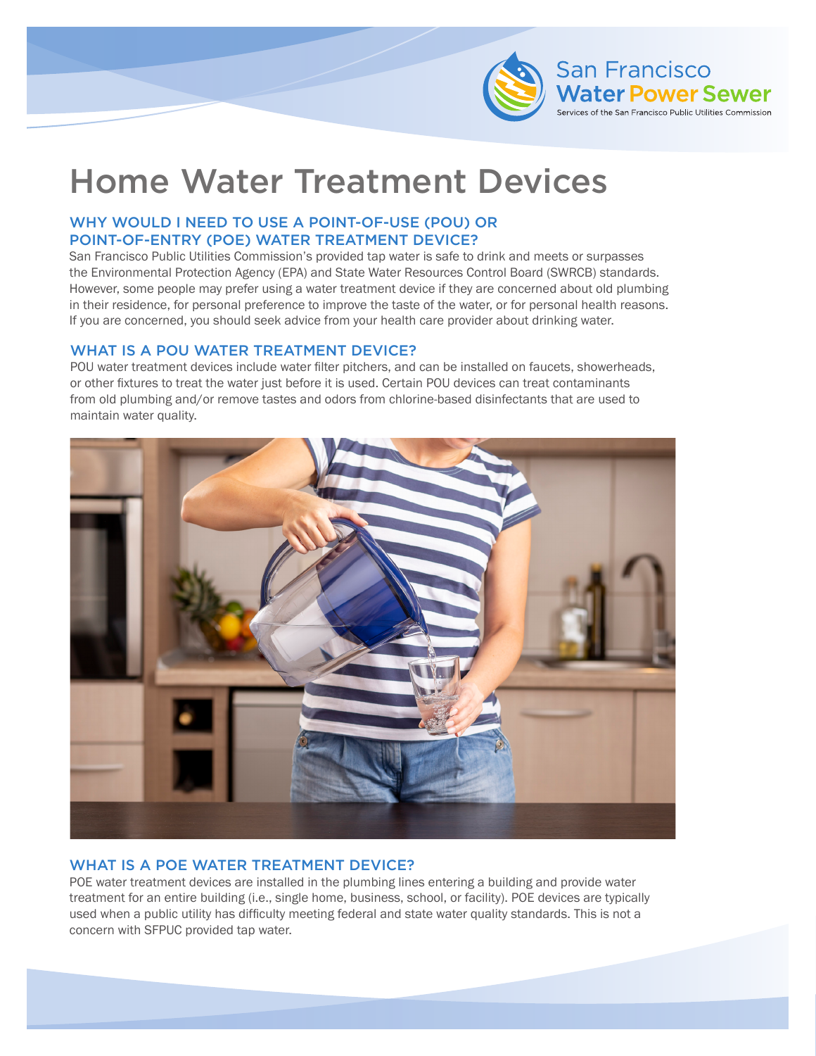

# Home Water Treatment Devices

## WHY WOULD I NEED TO USE A POINT-OF-USE (POU) OR POINT-OF-ENTRY (POE) WATER TREATMENT DEVICE?

San Francisco Public Utilities Commission's provided tap water is safe to drink and meets or surpasses the Environmental Protection Agency (EPA) and State Water Resources Control Board (SWRCB) standards. However, some people may prefer using a water treatment device if they are concerned about old plumbing in their residence, for personal preference to improve the taste of the water, or for personal health reasons. If you are concerned, you should seek advice from your health care provider about drinking water.

#### WHAT IS A POU WATER TREATMENT DEVICE?

POU water treatment devices include water filter pitchers, and can be installed on faucets, showerheads, or other fixtures to treat the water just before it is used. Certain POU devices can treat contaminants from old plumbing and/or remove tastes and odors from chlorine-based disinfectants that are used to maintain water quality.



# WHAT IS A POE WATER TREATMENT DEVICE?

POE water treatment devices are installed in the plumbing lines entering a building and provide water treatment for an entire building (i.e., single home, business, school, or facility). POE devices are typically used when a public utility has difficulty meeting federal and state water quality standards. This is not a concern with SFPUC provided tap water.